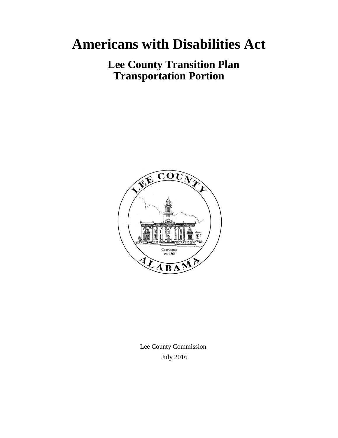# **Americans with Disabilities Act**

 **Lee County Transition Plan Transportation Portion**



 Lee County Commission July 2016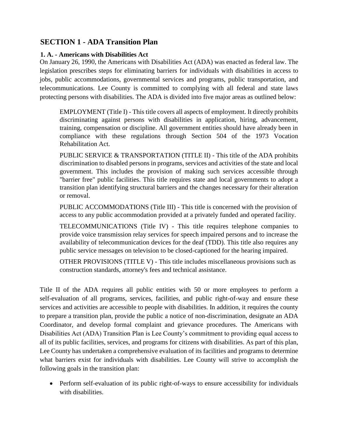# **SECTION 1 - ADA Transition Plan**

#### **1. A. - Americans with Disabilities Act**

On January 26, 1990, the Americans with Disabilities Act (ADA) was enacted as federal law. The legislation prescribes steps for eliminating barriers for individuals with disabilities in access to jobs, public accommodations, governmental services and programs, public transportation, and telecommunications. Lee County is committed to complying with all federal and state laws protecting persons with disabilities. The ADA is divided into five major areas as outlined below:

EMPLOYMENT (Title I) - This title covers all aspects of employment. It directly prohibits discriminating against persons with disabilities in application, hiring, advancement, training, compensation or discipline. All government entities should have already been in compliance with these regulations through Section 504 of the 1973 Vocation Rehabilitation Act.

PUBLIC SERVICE & TRANSPORTATION (TITLE II) - This title of the ADA prohibits discrimination to disabled persons in programs, services and activities of the state and local government. This includes the provision of making such services accessible through "barrier free" public facilities. This title requires state and local governments to adopt a transition plan identifying structural barriers and the changes necessary for their alteration or removal.

PUBLIC ACCOMMODATIONS (Title III) - This title is concerned with the provision of access to any public accommodation provided at a privately funded and operated facility.

TELECOMMUNICATIONS (Title IV) - This title requires telephone companies to provide voice transmission relay services for speech impaired persons and to increase the availability of telecommunication devices for the deaf (TDD). This title also requires any public service messages on television to be closed-captioned for the hearing impaired.

OTHER PROVISIONS (TITLE V) - This title includes miscellaneous provisions such as construction standards, attorney's fees and technical assistance.

Title II of the ADA requires all public entities with 50 or more employees to perform a self-evaluation of all programs, services, facilities, and public right-of-way and ensure these services and activities are accessible to people with disabilities. In addition, it requires the county to prepare a transition plan, provide the public a notice of non-discrimination, designate an ADA Coordinator, and develop formal complaint and grievance procedures. The Americans with Disabilities Act (ADA) Transition Plan is Lee County's commitment to providing equal access to all of its public facilities, services, and programs for citizens with disabilities. As part of this plan, Lee County has undertaken a comprehensive evaluation of its facilities and programs to determine what barriers exist for individuals with disabilities. Lee County will strive to accomplish the following goals in the transition plan:

• Perform self-evaluation of its public right-of-ways to ensure accessibility for individuals with disabilities.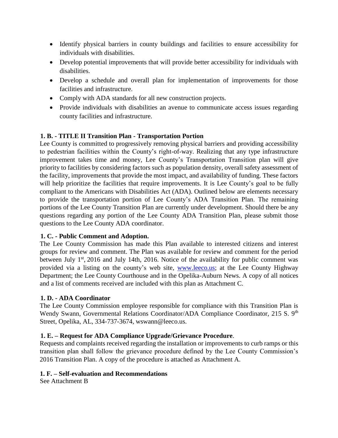- Identify physical barriers in county buildings and facilities to ensure accessibility for individuals with disabilities.
- Develop potential improvements that will provide better accessibility for individuals with disabilities.
- Develop a schedule and overall plan for implementation of improvements for those facilities and infrastructure.
- Comply with ADA standards for all new construction projects.
- Provide individuals with disabilities an avenue to communicate access issues regarding county facilities and infrastructure.

# **1. B. - TITLE II Transition Plan - Transportation Portion**

Lee County is committed to progressively removing physical barriers and providing accessibility to pedestrian facilities within the County's right-of-way. Realizing that any type infrastructure improvement takes time and money, Lee County's Transportation Transition plan will give priority to facilities by considering factors such as population density, overall safety assessment of the facility, improvements that provide the most impact, and availability of funding. These factors will help prioritize the facilities that require improvements. It is Lee County's goal to be fully compliant to the Americans with Disabilities Act (ADA). Outlined below are elements necessary to provide the transportation portion of Lee County's ADA Transition Plan. The remaining portions of the Lee County Transition Plan are currently under development. Should there be any questions regarding any portion of the Lee County ADA Transition Plan, please submit those questions to the Lee County ADA coordinator.

# **1. C. - Public Comment and Adoption.**

The Lee County Commission has made this Plan available to interested citizens and interest groups for review and comment. The Plan was available for review and comment for the period between July 1<sup>st</sup>, 2016 and July 14th, 2016. Notice of the availability for public comment was provided via a listing on the county's web site, [www.leeco.us;](http://www.leeco.us/) at the Lee County Highway Department; the Lee County Courthouse and in the Opelika-Auburn News. A copy of all notices and a list of comments received are included with this plan as Attachment C.

# **1. D. - ADA Coordinator**

The Lee County Commission employee responsible for compliance with this Transition Plan is Wendy Swann, Governmental Relations Coordinator/ADA Compliance Coordinator, 215 S. 9<sup>th</sup> Street, Opelika, AL, 334-737-3674, wswann@leeco.us.

# **1. E. – Request for ADA Compliance Upgrade/Grievance Procedure**.

Requests and complaints received regarding the installation or improvements to curb ramps or this transition plan shall follow the grievance procedure defined by the Lee County Commission's 2016 Transition Plan. A copy of the procedure is attached as Attachment A.

#### **1. F. – Self-evaluation and Recommendations**

See Attachment B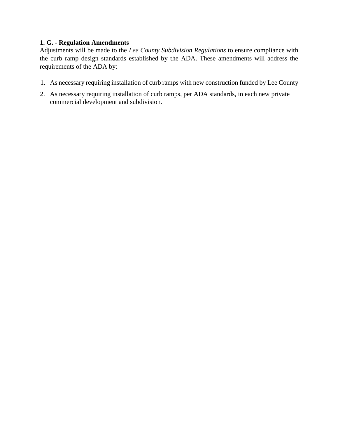#### **1. G. - Regulation Amendments**

Adjustments will be made to the *Lee County Subdivision Regulations* to ensure compliance with the curb ramp design standards established by the ADA. These amendments will address the requirements of the ADA by:

- 1. As necessary requiring installation of curb ramps with new construction funded by Lee County
- 2. As necessary requiring installation of curb ramps, per ADA standards, in each new private commercial development and subdivision.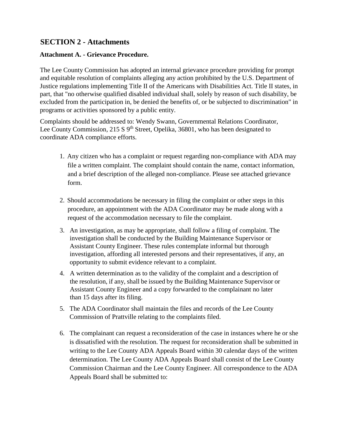# **SECTION 2 - Attachments**

#### **Attachment A. - Grievance Procedure.**

The Lee County Commission has adopted an internal grievance procedure providing for prompt and equitable resolution of complaints alleging any action prohibited by the U.S. Department of Justice regulations implementing Title II of the Americans with Disabilities Act. Title II states, in part, that "no otherwise qualified disabled individual shall, solely by reason of such disability, be excluded from the participation in, be denied the benefits of, or be subjected to discrimination" in programs or activities sponsored by a public entity.

Complaints should be addressed to: Wendy Swann, Governmental Relations Coordinator, Lee County Commission, 215 S  $9<sup>th</sup>$  Street, Opelika, 36801, who has been designated to coordinate ADA compliance efforts.

- 1. Any citizen who has a complaint or request regarding non-compliance with ADA may file a written complaint. The complaint should contain the name, contact information, and a brief description of the alleged non-compliance. Please see attached grievance form.
- 2. Should accommodations be necessary in filing the complaint or other steps in this procedure, an appointment with the ADA Coordinator may be made along with a request of the accommodation necessary to file the complaint.
- 3. An investigation, as may be appropriate, shall follow a filing of complaint. The investigation shall be conducted by the Building Maintenance Supervisor or Assistant County Engineer. These rules contemplate informal but thorough investigation, affording all interested persons and their representatives, if any, an opportunity to submit evidence relevant to a complaint.
- 4. A written determination as to the validity of the complaint and a description of the resolution, if any, shall be issued by the Building Maintenance Supervisor or Assistant County Engineer and a copy forwarded to the complainant no later than 15 days after its filing.
- 5. The ADA Coordinator shall maintain the files and records of the Lee County Commission of Prattville relating to the complaints filed.
- 6. The complainant can request a reconsideration of the case in instances where he or she is dissatisfied with the resolution. The request for reconsideration shall be submitted in writing to the Lee County ADA Appeals Board within 30 calendar days of the written determination. The Lee County ADA Appeals Board shall consist of the Lee County Commission Chairman and the Lee County Engineer. All correspondence to the ADA Appeals Board shall be submitted to: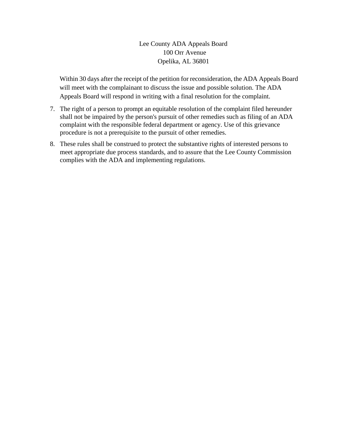Lee County ADA Appeals Board 100 Orr Avenue Opelika, AL 36801

Within 30 days after the receipt of the petition for reconsideration, the ADA Appeals Board will meet with the complainant to discuss the issue and possible solution. The ADA Appeals Board will respond in writing with a final resolution for the complaint.

- 7. The right of a person to prompt an equitable resolution of the complaint filed hereunder shall not be impaired by the person's pursuit of other remedies such as filing of an ADA complaint with the responsible federal department or agency. Use of this grievance procedure is not a prerequisite to the pursuit of other remedies.
- 8. These rules shall be construed to protect the substantive rights of interested persons to meet appropriate due process standards, and to assure that the Lee County Commission complies with the ADA and implementing regulations.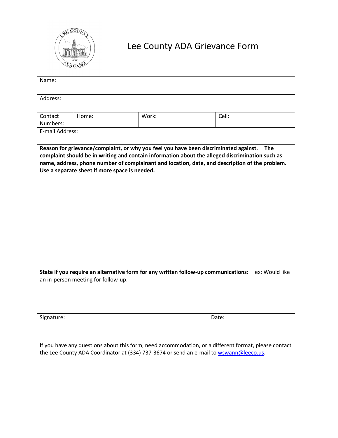

# Lee County ADA Grievance Form

| Name:                                                                                                                                                                                                                                                                                                                                                    |       |       |       |  |  |  |  |  |  |  |
|----------------------------------------------------------------------------------------------------------------------------------------------------------------------------------------------------------------------------------------------------------------------------------------------------------------------------------------------------------|-------|-------|-------|--|--|--|--|--|--|--|
| Address:                                                                                                                                                                                                                                                                                                                                                 |       |       |       |  |  |  |  |  |  |  |
| Contact<br>Numbers:                                                                                                                                                                                                                                                                                                                                      | Home: | Work: | Cell: |  |  |  |  |  |  |  |
| E-mail Address:                                                                                                                                                                                                                                                                                                                                          |       |       |       |  |  |  |  |  |  |  |
| Reason for grievance/complaint, or why you feel you have been discriminated against.<br><b>The</b><br>complaint should be in writing and contain information about the alleged discrimination such as<br>name, address, phone number of complainant and location, date, and description of the problem.<br>Use a separate sheet if more space is needed. |       |       |       |  |  |  |  |  |  |  |
| State if you require an alternative form for any written follow-up communications:<br>ex: Would like<br>an in-person meeting for follow-up.                                                                                                                                                                                                              |       |       |       |  |  |  |  |  |  |  |
| Signature:                                                                                                                                                                                                                                                                                                                                               |       |       | Date: |  |  |  |  |  |  |  |

If you have any questions about this form, need accommodation, or a different format, please contact the Lee County ADA Coordinator at (334) 737-3674 or send an e-mail to **wswann@leeco.us**.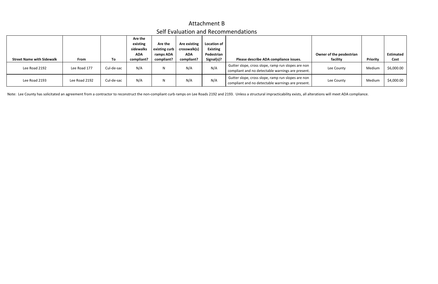|                                  |               |            | Are the    |               |              |                 |                                                                                                           |                          |          |                  |
|----------------------------------|---------------|------------|------------|---------------|--------------|-----------------|-----------------------------------------------------------------------------------------------------------|--------------------------|----------|------------------|
|                                  |               |            | existing   | Are the       | Are existing | Location of     |                                                                                                           |                          |          |                  |
|                                  |               |            | sidewalks  | existing curb | crosswalk(s) | <b>Existing</b> |                                                                                                           |                          |          |                  |
|                                  |               |            | <b>ADA</b> | ramps ADA     | <b>ADA</b>   | Pedestrian      |                                                                                                           | Owner of the pesdestrian |          | <b>Estimated</b> |
| <b>Street Name with Sidewalk</b> | <b>From</b>   | To         | compliant? | compliant?    | compliant?   | Signal(s)?      | Please describe ADA compliance issues.                                                                    | facility                 | Priority | Cost             |
| Lee Road 2192                    | Lee Road 177  | Cul-de-sac | N/A        | N             | N/A          | N/A             | Gutter slope, cross slope, ramp run slopes are non  <br>compliant and no detectable warnings are present. | Lee County               | Medium   | \$6,000.00       |
| Lee Road 2193                    | Lee Road 2192 | Cul-de-sac | N/A        | N             | N/A          | N/A             | Gutter slope, cross slope, ramp run slopes are non<br>compliant and no detectable warnings are present.   | Lee County               | Medium   | \$4,000.00       |

Note: Lee County has solicitated an agreement from a contractor to reconstruct the non-compliant curb ramps on Lee Roads 2192 and 2193. Unless a structural impracticability exists, all alterations will meet ADA compliance.

# Attachment B Self Evaluation and Recommendations